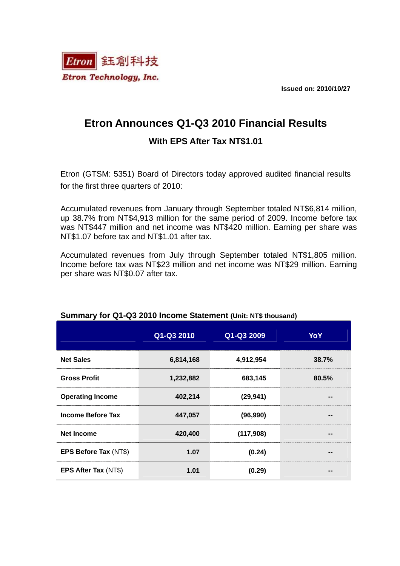

**Issued on: 2010/10/27** 

## **Etron Announces Q1-Q3 2010 Financial Results**

## **With EPS After Tax NT\$1.01**

Etron (GTSM: 5351) Board of Directors today approved audited financial results for the first three quarters of 2010:

Accumulated revenues from January through September totaled NT\$6,814 million, up 38.7% from NT\$4,913 million for the same period of 2009. Income before tax was NT\$447 million and net income was NT\$420 million. Earning per share was NT\$1.07 before tax and NT\$1.01 after tax.

Accumulated revenues from July through September totaled NT\$1,805 million. Income before tax was NT\$23 million and net income was NT\$29 million. Earning per share was NT\$0.07 after tax.

|                             | Q1-Q3 2010 | Q1-Q3 2009 | YoY   |
|-----------------------------|------------|------------|-------|
| <b>Net Sales</b>            | 6,814,168  | 4,912,954  | 38.7% |
| <b>Gross Profit</b>         | 1,232,882  | 683,145    | 80.5% |
| <b>Operating Income</b>     | 402,214    | (29, 941)  | --    |
| <b>Income Before Tax</b>    | 447,057    | (96, 990)  |       |
| <b>Net Income</b>           | 420,400    | (117,908)  |       |
| EPS Before Tax (NT\$)       | 1.07       | (0.24)     |       |
| <b>EPS After Tax (NT\$)</b> | 1.01       | (0.29)     |       |

## **Summary for Q1-Q3 2010 Income Statement (Unit: NT\$ thousand)**